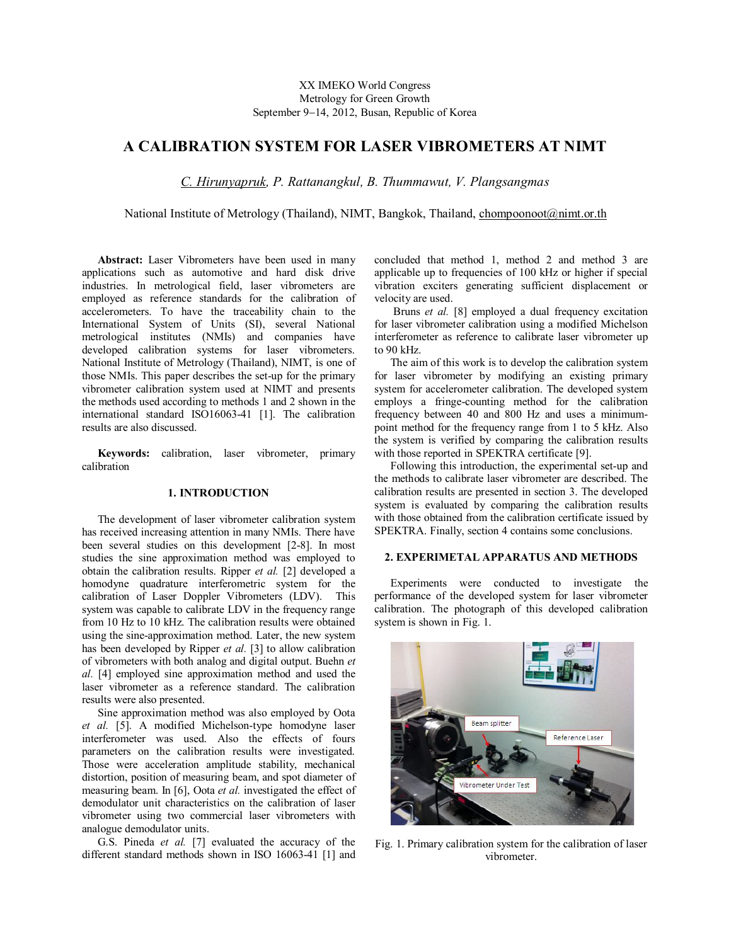# XX IMEKO World Congress Metrology for Green Growth September 9-14, 2012, Busan, Republic of Korea

# **A CALIBRATION SYSTEM FOR LASER VIBROMETERS AT NIMT**

*C. Hirunyapruk, P. Rattanangkul, B. Thummawut, V. Plangsangmas*

National Institute of Metrology (Thailand), NIMT, Bangkok, Thailand, chompoonoot@nimt.or.th

**Abstract:** Laser Vibrometers have been used in many applications such as automotive and hard disk drive industries. In metrological field, laser vibrometers are employed as reference standards for the calibration of accelerometers. To have the traceability chain to the International System of Units (SI), several National metrological institutes (NMIs) and companies have developed calibration systems for laser vibrometers. National Institute of Metrology (Thailand), NIMT, is one of those NMIs. This paper describes the set-up for the primary vibrometer calibration system used at NIMT and presents the methods used according to methods 1 and 2 shown in the international standard ISO16063-41 [1]. The calibration results are also discussed.

**Keywords:** calibration, laser vibrometer, primary calibration

# **1. INTRODUCTION**

The development of laser vibrometer calibration system has received increasing attention in many NMIs. There have been several studies on this development [2-8]. In most studies the sine approximation method was employed to obtain the calibration results. Ripper *et al.* [2] developed a homodyne quadrature interferometric system for the calibration of Laser Doppler Vibrometers (LDV). This system was capable to calibrate LDV in the frequency range from 10 Hz to 10 kHz. The calibration results were obtained using the sine-approximation method. Later, the new system has been developed by Ripper *et al.* [3] to allow calibration of vibrometers with both analog and digital output. Buehn *et al.* [4] employed sine approximation method and used the laser vibrometer as a reference standard. The calibration results were also presented.

Sine approximation method was also employed by Oota *et al.* [5]. A modified Michelson-type homodyne laser interferometer was used. Also the effects of fours parameters on the calibration results were investigated. Those were acceleration amplitude stability, mechanical distortion, position of measuring beam, and spot diameter of measuring beam. In [6], Oota *et al.* investigated the effect of demodulator unit characteristics on the calibration of laser vibrometer using two commercial laser vibrometers with analogue demodulator units.

G.S. Pineda *et al.* [7] evaluated the accuracy of the different standard methods shown in ISO 16063-41 [1] and concluded that method 1, method 2 and method 3 are applicable up to frequencies of 100 kHz or higher if special vibration exciters generating sufficient displacement or velocity are used.

Bruns *et al.* [8] employed a dual frequency excitation for laser vibrometer calibration using a modified Michelson interferometer as reference to calibrate laser vibrometer up to 90 kHz.

The aim of this work is to develop the calibration system for laser vibrometer by modifying an existing primary system for accelerometer calibration. The developed system employs a fringe-counting method for the calibration frequency between 40 and 800 Hz and uses a minimumpoint method for the frequency range from 1 to 5 kHz. Also the system is verified by comparing the calibration results with those reported in SPEKTRA certificate [9].

Following this introduction, the experimental set-up and the methods to calibrate laser vibrometer are described. The calibration results are presented in section 3. The developed system is evaluated by comparing the calibration results with those obtained from the calibration certificate issued by SPEKTRA. Finally, section 4 contains some conclusions.

## **2. EXPERIMETAL APPARATUS AND METHODS**

Experiments were conducted to investigate the performance of the developed system for laser vibrometer calibration. The photograph of this developed calibration system is shown in Fig. 1.



Fig. 1. Primary calibration system for the calibration of laser vibrometer.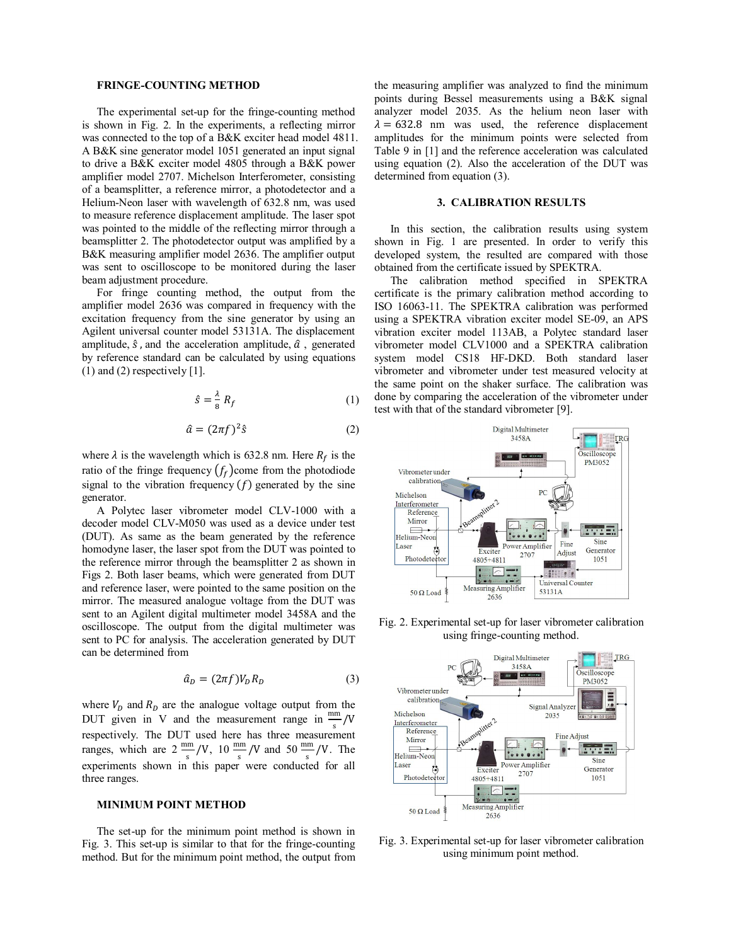#### **FRINGE-COUNTING METHOD**

The experimental set-up for the fringe-counting method is shown in Fig. 2. In the experiments, a reflecting mirror was connected to the top of a B&K exciter head model 4811. A B&K sine generator model 1051 generated an input signal to drive a B&K exciter model 4805 through a B&K power amplifier model 2707. Michelson Interferometer, consisting of a beamsplitter, a reference mirror, a photodetector and a Helium-Neon laser with wavelength of 632.8 nm, was used to measure reference displacement amplitude. The laser spot was pointed to the middle of the reflecting mirror through a beamsplitter 2. The photodetector output was amplified by a B&K measuring amplifier model 2636. The amplifier output was sent to oscilloscope to be monitored during the laser beam adjustment procedure.

For fringe counting method, the output from the amplifier model 2636 was compared in frequency with the excitation frequency from the sine generator by using an Agilent universal counter model 53131A. The displacement amplitude,  $\hat{s}$ , and the acceleration amplitude,  $\hat{a}$ , generated by reference standard can be calculated by using equations  $(1)$  and  $(2)$  respectively [1].

$$
\hat{s} = \frac{\lambda}{8} R_f \tag{1}
$$

$$
\hat{a} = (2\pi f)^2 \hat{s} \tag{2}
$$

where  $\lambda$  is the wavelength which is 632.8 nm. Here  $R_f$  is the ratio of the fringe frequency  $(f_f)$ come from the photodiode signal to the vibration frequency  $(f)$  generated by the sine generator.

A Polytec laser vibrometer model CLV-1000 with a decoder model CLV-M050 was used as a device under test (DUT). As same as the beam generated by the reference homodyne laser, the laser spot from the DUT was pointed to the reference mirror through the beamsplitter 2 as shown in Figs 2. Both laser beams, which were generated from DUT and reference laser, were pointed to the same position on the mirror. The measured analogue voltage from the DUT was sent to an Agilent digital multimeter model 3458A and the oscilloscope. The output from the digital multimeter was sent to PC for analysis. The acceleration generated by DUT can be determined from

$$
\hat{a}_D = (2\pi f)V_D R_D \tag{3}
$$

where  $V_D$  and  $R_D$  are the analogue voltage output from the DUT given in V and the measurement range in  $\frac{mm}{\epsilon}$ /V respectively. The DUT used here has three measurement ranges, which are  $2 \frac{mm}{s} / V$ ,  $10 \frac{mm}{s} / V$  and  $50 \frac{mm}{s} / V$ . The experiments shown in this paper were conducted for all three ranges.

#### **MINIMUM POINT METHOD**

The set-up for the minimum point method is shown in Fig. 3. This set-up is similar to that for the fringe-counting method. But for the minimum point method, the output from

the measuring amplifier was analyzed to find the minimum points during Bessel measurements using a B&K signal analyzer model 2035. As the helium neon laser with  $\lambda = 632.8$  nm was used, the reference displacement amplitudes for the minimum points were selected from Table 9 in [1] and the reference acceleration was calculated using equation (2). Also the acceleration of the DUT was determined from equation (3).

## **3. CALIBRATION RESULTS**

In this section, the calibration results using system shown in Fig. 1 are presented. In order to verify this developed system, the resulted are compared with those obtained from the certificate issued by SPEKTRA.

The calibration method specified in SPEKTRA certificate is the primary calibration method according to ISO 16063-11. The SPEKTRA calibration was performed using a SPEKTRA vibration exciter model SE-09, an APS vibration exciter model 113AB, a Polytec standard laser vibrometer model CLV1000 and a SPEKTRA calibration system model CS18 HF-DKD. Both standard laser vibrometer and vibrometer under test measured velocity at the same point on the shaker surface. The calibration was done by comparing the acceleration of the vibrometer under test with that of the standard vibrometer [9].



Fig. 2. Experimental set-up for laser vibrometer calibration using fringe-counting method.



Fig. 3. Experimental set-up for laser vibrometer calibration using minimum point method.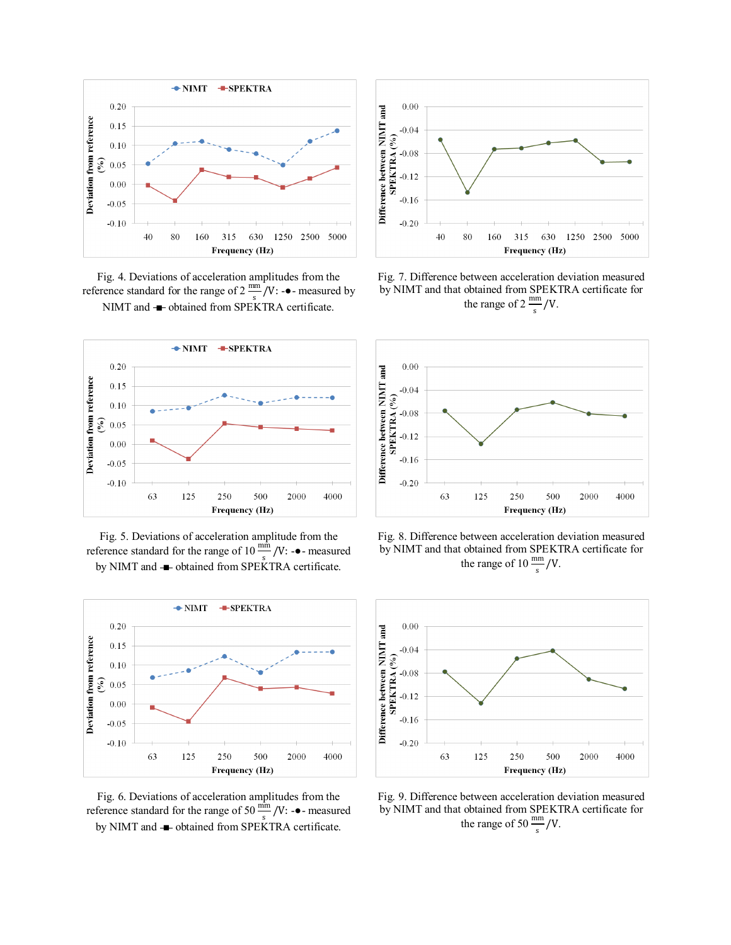

Fig. 4. Deviations of acceleration amplitudes from the reference standard for the range of  $2 \frac{\text{mm}}{s} / V$ : -• measured by NIMT and **■** obtained from SPEKTRA certificate.



Fig. 5. Deviations of acceleration amplitude from the reference standard for the range of 10  $\frac{\text{min}}{\text{s}}$  /V: -• measured by NIMT and  $\rightarrow$  obtained from SPEKTRA certificate.



Fig. 6. Deviations of acceleration amplitudes from the reference standard for the range of 50  $\frac{\text{min}}{\text{s}}$  /V: - $\bullet$ - measured by NIMT and **■** obtained from SPEKTRA certificate.



Fig. 7. Difference between acceleration deviation measured by NIMT and that obtained from SPEKTRA certificate for the range of  $2 \frac{\text{mm}}{\text{s}} / V$ .



Fig. 8. Difference between acceleration deviation measured by NIMT and that obtained from SPEKTRA certificate for the range of 10  $\frac{\text{mm}}{\text{s}}$ /V.



Fig. 9. Difference between acceleration deviation measured by NIMT and that obtained from SPEKTRA certificate for the range of 50  $\frac{\text{mm}}{\text{s}}$ /V.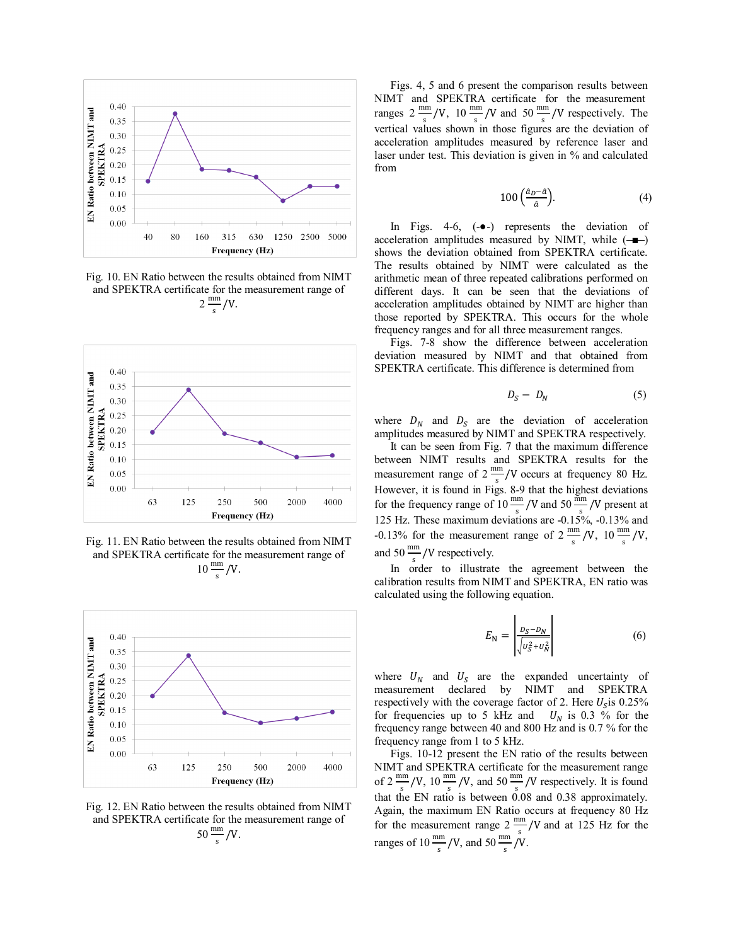

Fig. 10. EN Ratio between the results obtained from NIMT and SPEKTRA certificate for the measurement range of  $2\frac{\text{mm}}{\text{s}}$ /V.



Fig. 11. EN Ratio between the results obtained from NIMT and SPEKTRA certificate for the measurement range of  $10 \frac{\text{mm}}{\text{s}}$ /V.



Fig. 12. EN Ratio between the results obtained from NIMT and SPEKTRA certificate for the measurement range of  $50 \frac{\text{mm}}{\text{s}}$ /V.

Figs. 4, 5 and 6 present the comparison results between NIMT and SPEKTRA certificate for the measurement ranges  $2 \frac{\text{mm}}{\text{s}}/V$ ,  $10 \frac{\text{mm}}{\text{s}}/V$  and  $50 \frac{\text{mm}}{\text{s}}/V$  respectively. The vertical values shown in those figures are the deviation of acceleration amplitudes measured by reference laser and laser under test. This deviation is given in % and calculated from

$$
100\left(\frac{a_D - a}{a}\right). \tag{4}
$$

In Figs. 4-6, (-●-) represents the deviation of acceleration amplitudes measured by NIMT, while  $(-\blacksquare)$ shows the deviation obtained from SPEKTRA certificate. The results obtained by NIMT were calculated as the arithmetic mean of three repeated calibrations performed on different days. It can be seen that the deviations of acceleration amplitudes obtained by NIMT are higher than those reported by SPEKTRA. This occurs for the whole frequency ranges and for all three measurement ranges.

Figs. 7-8 show the difference between acceleration deviation measured by NIMT and that obtained from SPEKTRA certificate. This difference is determined from

$$
D_S - D_N \tag{5}
$$

where  $D_N$  and  $D_S$  are the deviation of acceleration amplitudes measured by NIMT and SPEKTRA respectively.

It can be seen from Fig. 7 that the maximum difference between NIMT results and SPEKTRA results for the measurement range of  $2 \frac{\text{mm}}{\text{s}}$ /V occurs at frequency 80 Hz. However, it is found in Figs. 8-9 that the highest deviations for the frequency range of 10  $\frac{\text{mm}}{\text{s}}$  /V and 50  $\frac{\text{mm}}{\text{s}}$  /V present at 125 Hz. These maximum deviations are  $-0.15\%$ ,  $-0.13\%$  and -0.13% for the measurement range of  $2 \frac{mm}{m}$  $\frac{10}{s}$  /V, 10  $\frac{mm}{s}$  /V, and  $50 \frac{\text{mm}}{\text{s}}$  /V respectively.

In order to illustrate the agreement between the calibration results from NIMT and SPEKTRA, EN ratio was calculated using the following equation.

$$
E_{\mathbf{N}} = \left| \frac{D_S - D_N}{\sqrt{U_S^2 + U_N^2}} \right| \tag{6}
$$

where  $U_N$  and  $U_S$  are the expanded uncertainty of measurement declared by NIMT and SPEKTRA respectively with the coverage factor of 2. Here  $U_s$  is 0.25% for frequencies up to 5 kHz and  $U_N$  is 0.3 % for the frequency range between 40 and 800 Hz and is 0.7 % for the frequency range from 1 to 5 kHz.

Figs. 10-12 present the EN ratio of the results between NIMT and SPEKTRA certificate for the measurement range of  $2 \frac{\text{mm}}{\text{s}} / V$ , 10  $\frac{\text{mm}}{\text{s}} / V$ , and 50  $\frac{\text{mm}}{\text{s}} / V$  respectively. It is found that the EN ratio is between  $0.08$  and 0.38 approximately. Again, the maximum EN Ratio occurs at frequency 80 Hz for the measurement range  $2 \frac{mm}{s}$  /V and at 125 Hz for the ranges of 10  $\frac{\text{mm}}{\text{s}}$  /V, and 50  $\frac{\text{mm}}{\text{s}}$  /V.